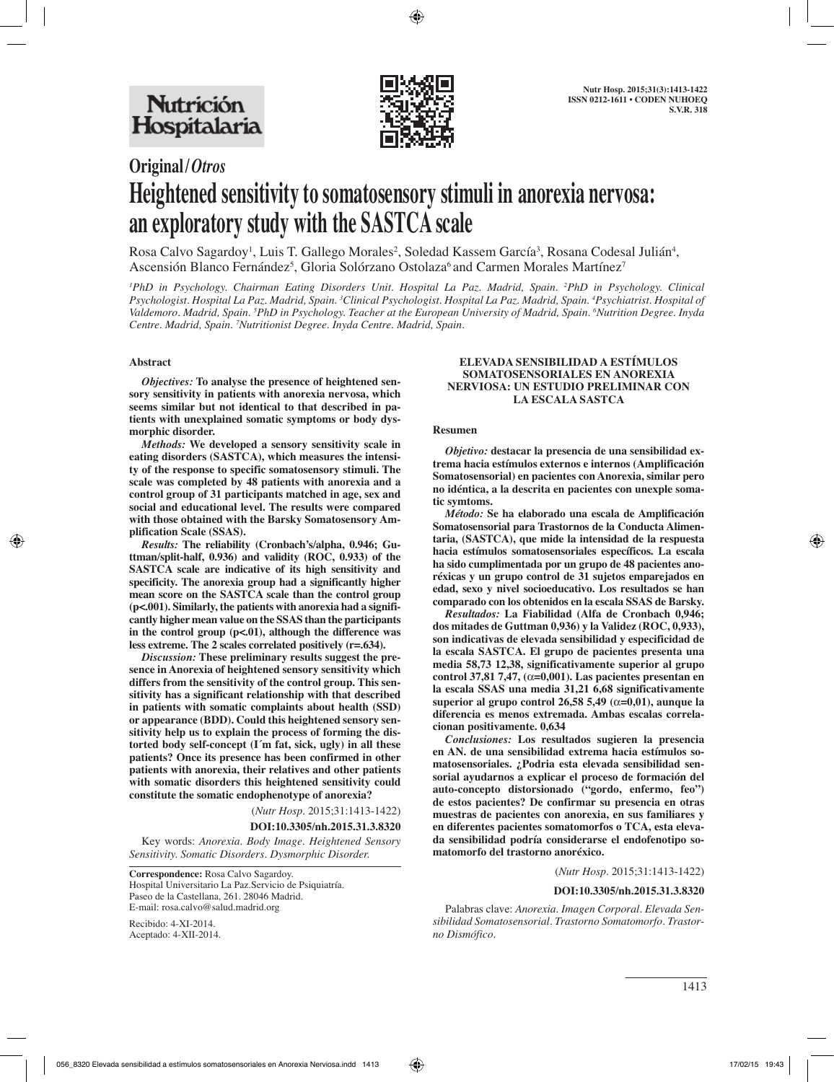

# **Original/***Otros* **Heightened sensitivity to somatosensory stimuli in anorexia nervosa: an exploratory study with the SASTCA scale**

Rosa Calvo Sagardoy<sup>1</sup>, Luis T. Gallego Morales<sup>2</sup>, Soledad Kassem García<sup>3</sup>, Rosana Codesal Julián<sup>4</sup>, Ascensión Blanco Fernández<sup>5</sup>, Gloria Solórzano Ostolaza<sup>6</sup> and Carmen Morales Martínez<sup>7</sup>

*1 PhD in Psychology. Chairman Eating Disorders Unit. Hospital La Paz. Madrid, Spain. 2 PhD in Psychology. Clinical Psychologist. Hospital La Paz. Madrid, Spain. 3 Clinical Psychologist. Hospital La Paz. Madrid, Spain. 4 Psychiatrist. Hospital of Valdemoro. Madrid, Spain. 5 PhD in Psychology. Teacher at the European University of Madrid, Spain. 6 Nutrition Degree. Inyda Centre. Madrid, Spain. 7 Nutritionist Degree. Inyda Centre. Madrid, Spain.*

## **Abstract**

*Objectives:* **To analyse the presence of heightened sensory sensitivity in patients with anorexia nervosa, which seems similar but not identical to that described in patients with unexplained somatic symptoms or body dysmorphic disorder.**

*Methods:* **We developed a sensory sensitivity scale in eating disorders (SASTCA), which measures the intensity of the response to specific somatosensory stimuli. The scale was completed by 48 patients with anorexia and a control group of 31 participants matched in age, sex and social and educational level. The results were compared with those obtained with the Barsky Somatosensory Amplification Scale (SSAS).** 

*Results:* **The reliability (Cronbach's/alpha, 0.946; Guttman/split-half, 0.936) and validity (ROC, 0.933) of the SASTCA scale are indicative of its high sensitivity and specificity. The anorexia group had a significantly higher mean score on the SASTCA scale than the control group (p<.001). Similarly, the patients with anorexia had a significantly higher mean value on the SSAS than the participants**  in the control group (p<.01), although the difference was **less extreme. The 2 scales correlated positively (r=.634).**

*Discussion:* **These preliminary results suggest the presence in Anorexia of heightened sensory sensitivity which differs from the sensitivity of the control group. This sensitivity has a significant relationship with that described in patients with somatic complaints about health (SSD) or appearance (BDD). Could this heightened sensory sensitivity help us to explain the process of forming the distorted body self-concept (I´m fat, sick, ugly) in all these patients? Once its presence has been confirmed in other patients with anorexia, their relatives and other patients with somatic disorders this heightened sensitivity could constitute the somatic endophenotype of anorexia?**

(*Nutr Hosp.* 2015;31:1413-1422)

## **DOI:10.3305/nh.2015.31.3.8320**

Key words: *Anorexia. Body Image. Heightened Sensory Sensitivity. Somatic Disorders. Dysmorphic Disorder.*

Recibido: 4-XI-2014. Aceptado: 4-XII-2014.

#### **ELEVADA SENSIBILIDAD A ESTÍMULOS SOMATOSENSORIALES EN ANOREXIA NERVIOSA: UN ESTUDIO PRELIMINAR CON LA ESCALA SASTCA**

#### **Resumen**

*Objetivo:* **destacar la presencia de una sensibilidad extrema hacia estímulos externos e internos (Amplificación Somatosensorial) en pacientes con Anorexia, similar pero no idéntica, a la descrita en pacientes con unexple somatic symtoms.** 

*Método:* **Se ha elaborado una escala de Amplificación Somatosensorial para Trastornos de la Conducta Alimentaria, (SASTCA), que mide la intensidad de la respuesta hacia estímulos somatosensoriales específicos. La escala ha sido cumplimentada por un grupo de 48 pacientes anoréxicas y un grupo control de 31 sujetos emparejados en edad, sexo y nivel socioeducativo. Los resultados se han comparado con los obtenidos en la escala SSAS de Barsky.** 

*Resultados:* **La Fiabilidad (Alfa de Cronbach 0,946; dos mitades de Guttman 0,936) y la Validez (ROC, 0,933), son indicativas de elevada sensibilidad y especificidad de la escala SASTCA. El grupo de pacientes presenta una media 58,73 12,38, significativamente superior al grupo control 37,81 7,47, (**α**=0,001). Las pacientes presentan en la escala SSAS una media 31,21 6,68 significativamente superior al grupo control 26,58 5,49 (**α**=0,01), aunque la diferencia es menos extremada. Ambas escalas correlacionan positivamente. 0,634**

*Conclusiones:* **Los resultados sugieren la presencia en AN. de una sensibilidad extrema hacia estímulos somatosensoriales. ¿Podria esta elevada sensibilidad sensorial ayudarnos a explicar el proceso de formación del auto-concepto distorsionado ("gordo, enfermo, feo") de estos pacientes? De confirmar su presencia en otras muestras de pacientes con anorexia, en sus familiares y en diferentes pacientes somatomorfos o TCA, esta elevada sensibilidad podría considerarse el endofenotipo somatomorfo del trastorno anoréxico.**

#### (*Nutr Hosp.* 2015;31:1413-1422)

#### **DOI:10.3305/nh.2015.31.3.8320**

Palabras clave: *Anorexia. Imagen Corporal. Elevada Sensibilidad Somatosensorial. Trastorno Somatomorfo. Trastorno Dismófico.*

**Correspondence:** Rosa Calvo Sagardoy. Hospital Universitario La Paz.Servicio de Psiquiatría. Paseo de la Castellana, 261. 28046 Madrid. E-mail: rosa.calvo@salud.madrid.org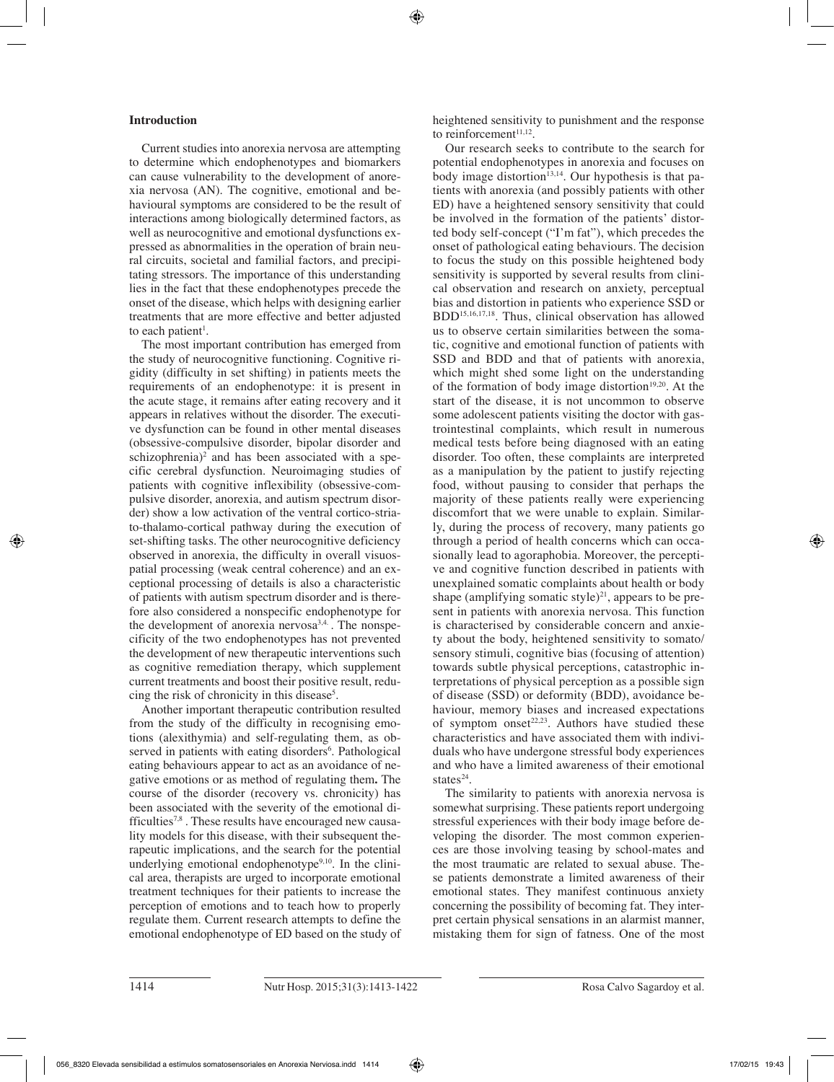# **Introduction**

Current studies into anorexia nervosa are attempting to determine which endophenotypes and biomarkers can cause vulnerability to the development of anorexia nervosa (AN). The cognitive, emotional and behavioural symptoms are considered to be the result of interactions among biologically determined factors, as well as neurocognitive and emotional dysfunctions expressed as abnormalities in the operation of brain neural circuits, societal and familial factors, and precipitating stressors. The importance of this understanding lies in the fact that these endophenotypes precede the onset of the disease, which helps with designing earlier treatments that are more effective and better adjusted to each patient<sup>1</sup>.

The most important contribution has emerged from the study of neurocognitive functioning. Cognitive rigidity (difficulty in set shifting) in patients meets the requirements of an endophenotype: it is present in the acute stage, it remains after eating recovery and it appears in relatives without the disorder. The executive dysfunction can be found in other mental diseases (obsessive-compulsive disorder, bipolar disorder and schizophrenia)<sup>2</sup> and has been associated with a specific cerebral dysfunction. Neuroimaging studies of patients with cognitive inflexibility (obsessive-compulsive disorder, anorexia, and autism spectrum disorder) show a low activation of the ventral cortico-striato-thalamo-cortical pathway during the execution of set-shifting tasks. The other neurocognitive deficiency observed in anorexia, the difficulty in overall visuospatial processing (weak central coherence) and an exceptional processing of details is also a characteristic of patients with autism spectrum disorder and is therefore also considered a nonspecific endophenotype for the development of anorexia nervosa<sup>3,4.</sup>. The nonspecificity of the two endophenotypes has not prevented the development of new therapeutic interventions such as cognitive remediation therapy, which supplement current treatments and boost their positive result, reducing the risk of chronicity in this disease<sup>5</sup>.

Another important therapeutic contribution resulted from the study of the difficulty in recognising emotions (alexithymia) and self-regulating them, as observed in patients with eating disorders<sup>6</sup>. Pathological eating behaviours appear to act as an avoidance of negative emotions or as method of regulating them**.** The course of the disorder (recovery vs. chronicity) has been associated with the severity of the emotional difficulties<sup>7,8</sup>. These results have encouraged new causality models for this disease, with their subsequent therapeutic implications, and the search for the potential underlying emotional endophenotype<sup>9,10</sup>. In the clinical area, therapists are urged to incorporate emotional treatment techniques for their patients to increase the perception of emotions and to teach how to properly regulate them. Current research attempts to define the emotional endophenotype of ED based on the study of heightened sensitivity to punishment and the response to reinforcement<sup>11,12</sup>.

Our research seeks to contribute to the search for potential endophenotypes in anorexia and focuses on body image distortion<sup>13,14</sup>. Our hypothesis is that patients with anorexia (and possibly patients with other ED) have a heightened sensory sensitivity that could be involved in the formation of the patients' distorted body self-concept ("I'm fat"), which precedes the onset of pathological eating behaviours. The decision to focus the study on this possible heightened body sensitivity is supported by several results from clinical observation and research on anxiety, perceptual bias and distortion in patients who experience SSD or BDD15,16,17,18. Thus, clinical observation has allowed us to observe certain similarities between the somatic, cognitive and emotional function of patients with SSD and BDD and that of patients with anorexia, which might shed some light on the understanding of the formation of body image distortion $19,20$ . At the start of the disease, it is not uncommon to observe some adolescent patients visiting the doctor with gastrointestinal complaints, which result in numerous medical tests before being diagnosed with an eating disorder. Too often, these complaints are interpreted as a manipulation by the patient to justify rejecting food, without pausing to consider that perhaps the majority of these patients really were experiencing discomfort that we were unable to explain. Similarly, during the process of recovery, many patients go through a period of health concerns which can occasionally lead to agoraphobia. Moreover, the perceptive and cognitive function described in patients with unexplained somatic complaints about health or body shape (amplifying somatic style)<sup>21</sup>, appears to be present in patients with anorexia nervosa. This function is characterised by considerable concern and anxiety about the body, heightened sensitivity to somato/ sensory stimuli, cognitive bias (focusing of attention) towards subtle physical perceptions, catastrophic interpretations of physical perception as a possible sign of disease (SSD) or deformity (BDD), avoidance behaviour, memory biases and increased expectations of symptom onset<sup>22,23</sup>. Authors have studied these characteristics and have associated them with individuals who have undergone stressful body experiences and who have a limited awareness of their emotional states $24$ .

The similarity to patients with anorexia nervosa is somewhat surprising. These patients report undergoing stressful experiences with their body image before developing the disorder. The most common experiences are those involving teasing by school-mates and the most traumatic are related to sexual abuse. These patients demonstrate a limited awareness of their emotional states. They manifest continuous anxiety concerning the possibility of becoming fat. They interpret certain physical sensations in an alarmist manner, mistaking them for sign of fatness. One of the most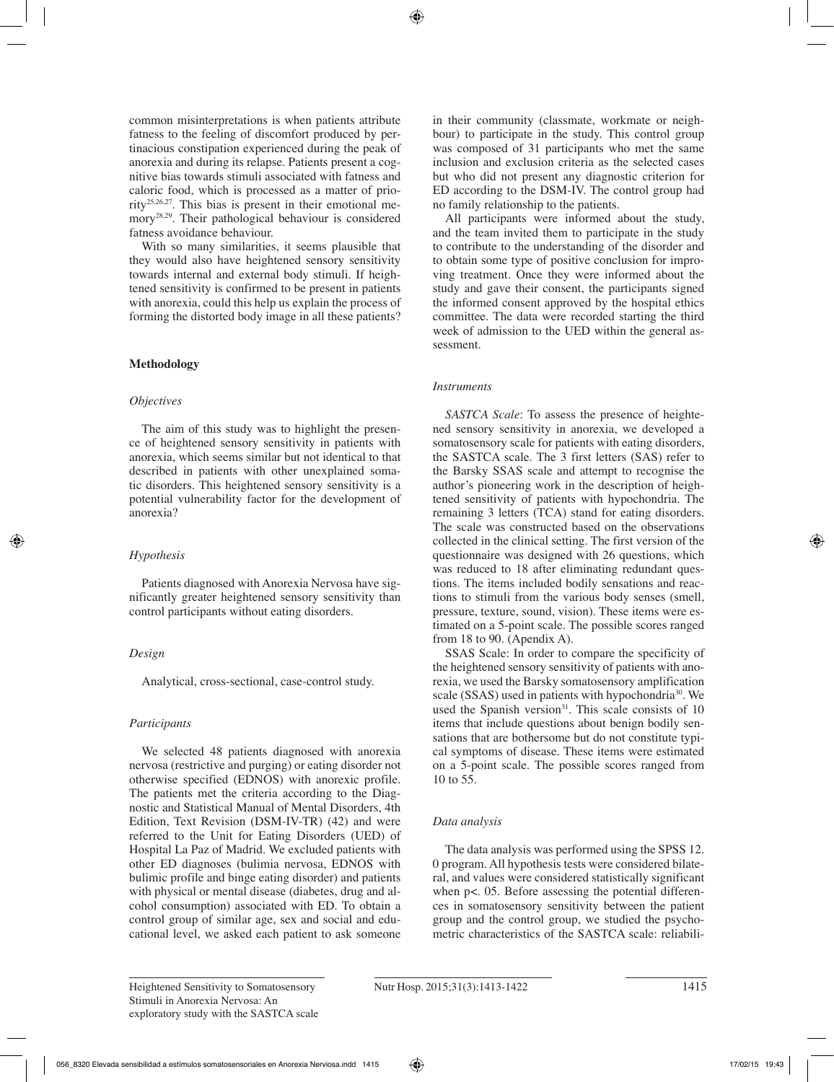common misinterpretations is when patients attribute fatness to the feeling of discomfort produced by pertinacious constipation experienced during the peak of anorexia and during its relapse. Patients present a cognitive bias towards stimuli associated with fatness and caloric food, which is processed as a matter of priority25,26,27. This bias is present in their emotional memory28,29. Their pathological behaviour is considered fatness avoidance behaviour.

With so many similarities, it seems plausible that they would also have heightened sensory sensitivity towards internal and external body stimuli. If heightened sensitivity is confirmed to be present in patients with anorexia, could this help us explain the process of forming the distorted body image in all these patients?

# **Methodology**

# *Objectives*

The aim of this study was to highlight the presence of heightened sensory sensitivity in patients with anorexia, which seems similar but not identical to that described in patients with other unexplained somatic disorders. This heightened sensory sensitivity is a potential vulnerability factor for the development of anorexia?

# *Hypothesis*

Patients diagnosed with Anorexia Nervosa have significantly greater heightened sensory sensitivity than control participants without eating disorders.

# *Design*

Analytical, cross-sectional, case-control study.

# *Participants*

We selected 48 patients diagnosed with anorexia nervosa (restrictive and purging) or eating disorder not otherwise specified (EDNOS) with anorexic profile. The patients met the criteria according to the Diagnostic and Statistical Manual of Mental Disorders, 4th Edition, Text Revision (DSM-IV-TR) (42) and were referred to the Unit for Eating Disorders (UED) of Hospital La Paz of Madrid. We excluded patients with other ED diagnoses (bulimia nervosa, EDNOS with bulimic profile and binge eating disorder) and patients with physical or mental disease (diabetes, drug and alcohol consumption) associated with ED. To obtain a control group of similar age, sex and social and educational level, we asked each patient to ask someone in their community (classmate, workmate or neighbour) to participate in the study. This control group was composed of 31 participants who met the same inclusion and exclusion criteria as the selected cases but who did not present any diagnostic criterion for ED according to the DSM-IV. The control group had no family relationship to the patients.

All participants were informed about the study, and the team invited them to participate in the study to contribute to the understanding of the disorder and to obtain some type of positive conclusion for improving treatment. Once they were informed about the study and gave their consent, the participants signed the informed consent approved by the hospital ethics committee. The data were recorded starting the third week of admission to the UED within the general assessment.

# *Instruments*

*SASTCA Scale*: To assess the presence of heightened sensory sensitivity in anorexia, we developed a somatosensory scale for patients with eating disorders, the SASTCA scale. The 3 first letters (SAS) refer to the Barsky SSAS scale and attempt to recognise the author's pioneering work in the description of heightened sensitivity of patients with hypochondria. The remaining 3 letters (TCA) stand for eating disorders. The scale was constructed based on the observations collected in the clinical setting. The first version of the questionnaire was designed with 26 questions, which was reduced to 18 after eliminating redundant questions. The items included bodily sensations and reactions to stimuli from the various body senses (smell, pressure, texture, sound, vision). These items were estimated on a 5-point scale. The possible scores ranged from 18 to 90. (Apendix A).

SSAS Scale: In order to compare the specificity of the heightened sensory sensitivity of patients with anorexia, we used the Barsky somatosensory amplification scale (SSAS) used in patients with hypochondria<sup>30</sup>. We used the Spanish version<sup>31</sup>. This scale consists of 10 items that include questions about benign bodily sensations that are bothersome but do not constitute typical symptoms of disease. These items were estimated on a 5-point scale. The possible scores ranged from 10 to 55.

# *Data analysis*

The data analysis was performed using the SPSS 12. 0 program. All hypothesis tests were considered bilateral, and values were considered statistically significant when p<. 05. Before assessing the potential differences in somatosensory sensitivity between the patient group and the control group, we studied the psychometric characteristics of the SASTCA scale: reliabili-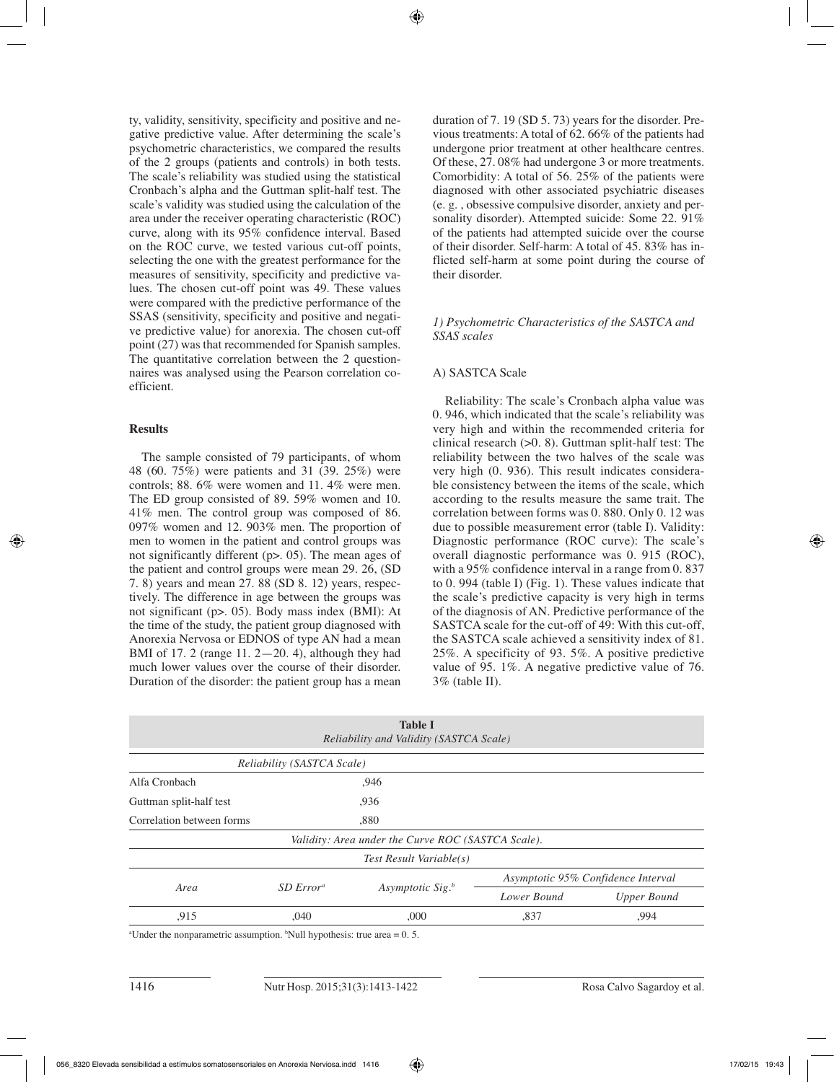ty, validity, sensitivity, specificity and positive and negative predictive value. After determining the scale's psychometric characteristics, we compared the results of the 2 groups (patients and controls) in both tests. The scale's reliability was studied using the statistical Cronbach's alpha and the Guttman split-half test. The scale's validity was studied using the calculation of the area under the receiver operating characteristic (ROC) curve, along with its 95% confidence interval. Based on the ROC curve, we tested various cut-off points, selecting the one with the greatest performance for the measures of sensitivity, specificity and predictive values. The chosen cut-off point was 49. These values were compared with the predictive performance of the SSAS (sensitivity, specificity and positive and negative predictive value) for anorexia. The chosen cut-off point (27) was that recommended for Spanish samples. The quantitative correlation between the 2 questionnaires was analysed using the Pearson correlation coefficient.

# **Results**

The sample consisted of 79 participants, of whom 48 (60. 75%) were patients and 31 (39. 25%) were controls; 88. 6% were women and 11. 4% were men. The ED group consisted of 89. 59% women and 10. 41% men. The control group was composed of 86. 097% women and 12. 903% men. The proportion of men to women in the patient and control groups was not significantly different (p>. 05). The mean ages of the patient and control groups were mean 29. 26, (SD 7. 8) years and mean 27. 88 (SD 8. 12) years, respectively. The difference in age between the groups was not significant (p>. 05). Body mass index (BMI): At the time of the study, the patient group diagnosed with Anorexia Nervosa or EDNOS of type AN had a mean BMI of 17. 2 (range 11. 2—20. 4), although they had much lower values over the course of their disorder. Duration of the disorder: the patient group has a mean

duration of 7. 19 (SD 5. 73) years for the disorder. Previous treatments: A total of 62. 66% of the patients had undergone prior treatment at other healthcare centres. Of these, 27. 08% had undergone 3 or more treatments. Comorbidity: A total of 56. 25% of the patients were diagnosed with other associated psychiatric diseases (e. g. , obsessive compulsive disorder, anxiety and personality disorder). Attempted suicide: Some 22. 91% of the patients had attempted suicide over the course of their disorder. Self-harm: A total of 45. 83% has inflicted self-harm at some point during the course of their disorder.

# *1) Psychometric Characteristics of the SASTCA and SSAS scales*

# A) SASTCA Scale

Reliability: The scale's Cronbach alpha value was 0. 946, which indicated that the scale's reliability was very high and within the recommended criteria for clinical research  $(>0.8)$ . Guttman split-half test: The reliability between the two halves of the scale was very high (0. 936). This result indicates considerable consistency between the items of the scale, which according to the results measure the same trait. The correlation between forms was 0. 880. Only 0. 12 was due to possible measurement error (table I). Validity: Diagnostic performance (ROC curve): The scale's overall diagnostic performance was 0. 915 (ROC), with a 95% confidence interval in a range from 0.837 to 0. 994 (table I) (Fig. 1). These values indicate that the scale's predictive capacity is very high in terms of the diagnosis of AN. Predictive performance of the SASTCA scale for the cut-off of 49: With this cut-off, the SASTCA scale achieved a sensitivity index of 81. 25%. A specificity of 93. 5%. A positive predictive value of 95. 1%. A negative predictive value of 76. 3% (table II).

|                           |                            | <b>Table I</b><br>Reliability and Validity (SASTCA Scale) |                                    |                    |  |
|---------------------------|----------------------------|-----------------------------------------------------------|------------------------------------|--------------------|--|
|                           | Reliability (SASTCA Scale) |                                                           |                                    |                    |  |
| Alfa Cronbach             |                            | ,946                                                      |                                    |                    |  |
| Guttman split-half test   | .936                       |                                                           |                                    |                    |  |
| Correlation between forms | ,880                       |                                                           |                                    |                    |  |
|                           |                            | Validity: Area under the Curve ROC (SASTCA Scale).        |                                    |                    |  |
|                           |                            | Test Result Variable(s)                                   |                                    |                    |  |
| Area                      | SD Error <sup>a</sup>      | Asymptotic Sig. <sup>b</sup>                              | Asymptotic 95% Confidence Interval |                    |  |
|                           |                            |                                                           | Lower Bound                        | <b>Upper Bound</b> |  |
| .915                      | ,040                       | ,000                                                      | ,837<br>.994                       |                    |  |

<sup>a</sup>Under the nonparametric assumption. <sup>b</sup>Null hypothesis: true area =  $0.5$ .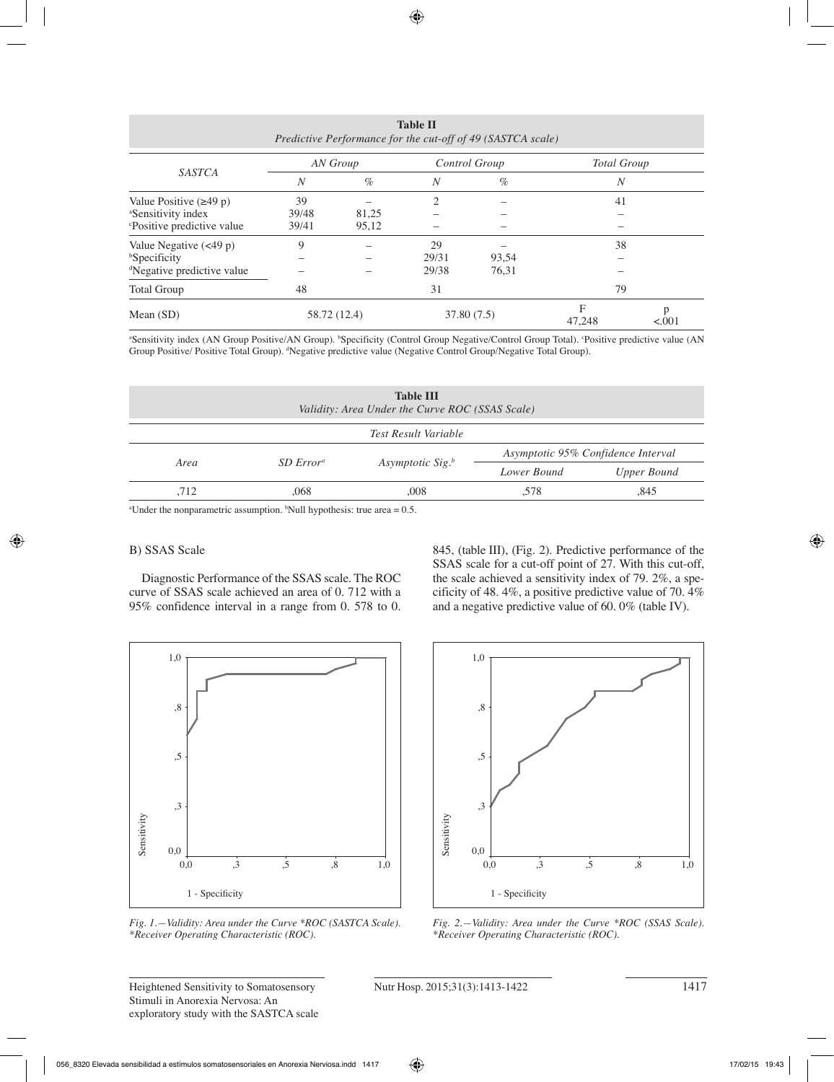| Predictive Performance for the cut-off of 49 (SASTCA scale) |              |       |               |       |                    |        |
|-------------------------------------------------------------|--------------|-------|---------------|-------|--------------------|--------|
| <b>SASTCA</b>                                               | AN Group     |       | Control Group |       | <b>Total Group</b> |        |
|                                                             | N            | $\%$  | N             | $\%$  | N                  |        |
| Value Positive $(\geq 49 \text{ p})$                        | 39           |       | 2             |       | 41                 |        |
| <sup>a</sup> Sensitivity index                              | 39/48        | 81,25 |               |       |                    |        |
| <sup>c</sup> Positive predictive value                      | 39/41        | 95,12 |               |       |                    |        |
| Value Negative $(<49 p)$                                    | 9            |       | 29            |       | 38                 |        |
| <b>Specificity</b>                                          |              |       | 29/31         | 93,54 |                    |        |
| <sup>d</sup> Negative predictive value                      |              |       | 29/38         | 76,31 |                    |        |
| <b>Total Group</b>                                          | 48           |       | 31            |       | 79                 |        |
| Mean $(SD)$                                                 | 58.72 (12.4) |       | 37.80 (7.5)   |       | F<br>47,248        | < .001 |

**Table II**

a Sensitivity index (AN Group Positive/AN Group). b Specificity (Control Group Negative/Control Group Total). c Positive predictive value (AN Group Positive/ Positive Total Group). d Negative predictive value (Negative Control Group/Negative Total Group).

| <b>Table III</b><br>Validity: Area Under the Curve ROC (SSAS Scale) |                       |                              |                                    |             |  |  |
|---------------------------------------------------------------------|-----------------------|------------------------------|------------------------------------|-------------|--|--|
| Test Result Variable                                                |                       |                              |                                    |             |  |  |
| Area                                                                | SD Error <sup>a</sup> |                              | Asymptotic 95% Confidence Interval |             |  |  |
|                                                                     |                       | Asymptotic Sig. <sup>b</sup> | Lower Bound                        | Upper Bound |  |  |
| .712                                                                | .068                  | .008                         | .578                               | .845        |  |  |

a Under the nonparametric assumption. b Null hypothesis: true area = 0.5.

# B) SSAS Scale

Diagnostic Performance of the SSAS scale. The ROC curve of SSAS scale achieved an area of 0. 712 with a 95% confidence interval in a range from 0. 578 to 0. 845, (table III), (Fig. 2). Predictive performance of the SSAS scale for a cut-off point of 27. With this cut-off, the scale achieved a sensitivity index of 79. 2%, a specificity of 48. 4%, a positive predictive value of 70. 4% and a negative predictive value of 60. 0% (table IV).



*Fig. 1.—Validity: Area under the Curve \*ROC (SASTCA Scale). \*Receiver Operating Characteristic (ROC).*



*Fig. 2.—Validity: Area under the Curve \*ROC (SSAS Scale). \*Receiver Operating Characteristic (ROC).*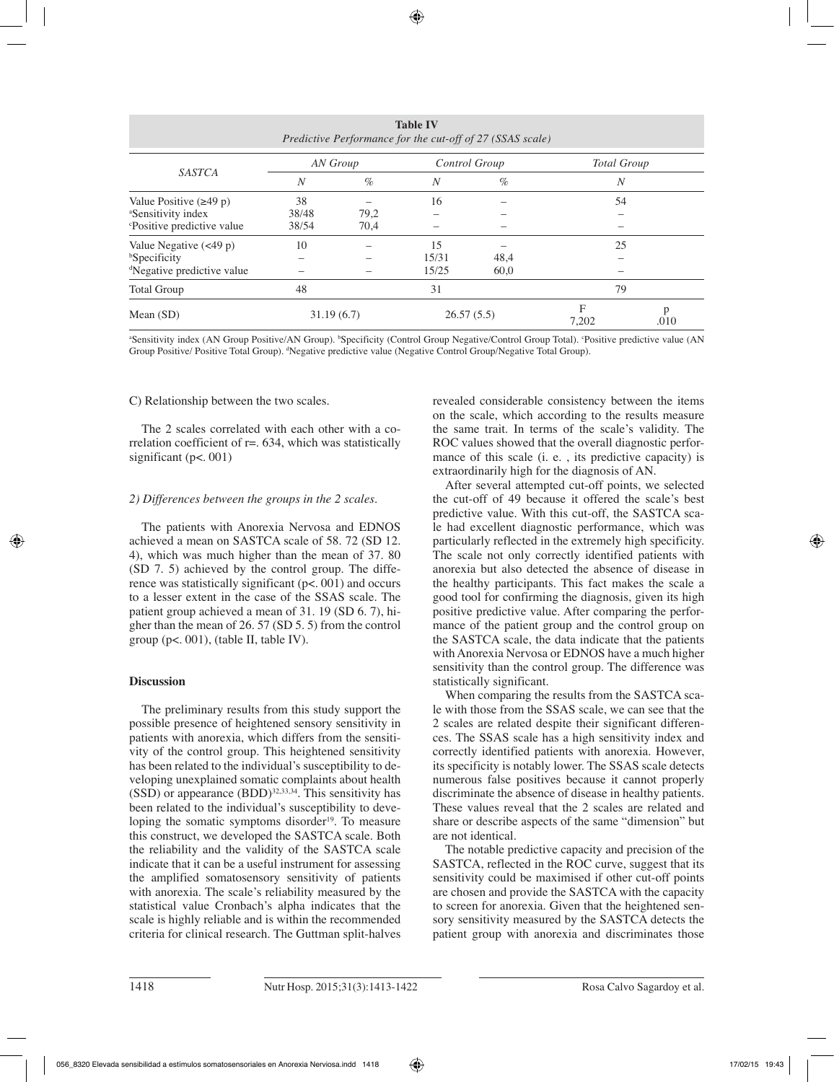| <b>Table IV</b><br>Predictive Performance for the cut-off of 27 (SSAS scale) |            |      |               |      |                    |           |
|------------------------------------------------------------------------------|------------|------|---------------|------|--------------------|-----------|
| <b>SASTCA</b>                                                                | AN Group   |      | Control Group |      | <b>Total Group</b> |           |
|                                                                              | N          | $\%$ | N             | $\%$ | $\boldsymbol{N}$   |           |
| Value Positive $(\geq 49 p)$                                                 | 38         |      | 16            |      | 54                 |           |
| <sup>a</sup> Sensitivity index                                               | 38/48      | 79,2 |               |      |                    |           |
| <sup>c</sup> Positive predictive value                                       | 38/54      | 70,4 |               |      |                    |           |
| Value Negative $(\leq 49 \text{ p})$                                         | 10         |      | 15            |      | 25                 |           |
| <sup>b</sup> Specificity                                                     |            |      | 15/31         | 48,4 |                    |           |
| <sup>d</sup> Negative predictive value                                       |            |      | 15/25         | 60,0 |                    |           |
| <b>Total Group</b>                                                           | 48         |      | 31            |      | 79                 |           |
| Mean $(SD)$                                                                  | 31.19(6.7) |      | 26.57(5.5)    |      | F<br>7,202         | p<br>.010 |

a Sensitivity index (AN Group Positive/AN Group). b Specificity (Control Group Negative/Control Group Total). c Positive predictive value (AN Group Positive/ Positive Total Group). d Negative predictive value (Negative Control Group/Negative Total Group).

## C) Relationship between the two scales.

The 2 scales correlated with each other with a correlation coefficient of  $r = 634$ , which was statistically significant (p<. 001)

# *2) Differences between the groups in the 2 scales.*

The patients with Anorexia Nervosa and EDNOS achieved a mean on SASTCA scale of 58. 72 (SD 12. 4), which was much higher than the mean of 37. 80 (SD 7. 5) achieved by the control group. The difference was statistically significant (p<. 001) and occurs to a lesser extent in the case of the SSAS scale. The patient group achieved a mean of 31. 19 (SD 6. 7), higher than the mean of 26. 57 (SD 5. 5) from the control group ( $p$ <. 001), (table II, table IV).

# **Discussion**

The preliminary results from this study support the possible presence of heightened sensory sensitivity in patients with anorexia, which differs from the sensitivity of the control group. This heightened sensitivity has been related to the individual's susceptibility to developing unexplained somatic complaints about health  $(SSD)$  or appearance  $(BDD)^{32,33,34}$ . This sensitivity has been related to the individual's susceptibility to developing the somatic symptoms disorder $19$ . To measure this construct, we developed the SASTCA scale. Both the reliability and the validity of the SASTCA scale indicate that it can be a useful instrument for assessing the amplified somatosensory sensitivity of patients with anorexia. The scale's reliability measured by the statistical value Cronbach's alpha indicates that the scale is highly reliable and is within the recommended criteria for clinical research. The Guttman split-halves revealed considerable consistency between the items on the scale, which according to the results measure the same trait. In terms of the scale's validity. The ROC values showed that the overall diagnostic performance of this scale (i. e. , its predictive capacity) is extraordinarily high for the diagnosis of AN.

After several attempted cut-off points, we selected the cut-off of 49 because it offered the scale's best predictive value. With this cut-off, the SASTCA scale had excellent diagnostic performance, which was particularly reflected in the extremely high specificity. The scale not only correctly identified patients with anorexia but also detected the absence of disease in the healthy participants. This fact makes the scale a good tool for confirming the diagnosis, given its high positive predictive value. After comparing the performance of the patient group and the control group on the SASTCA scale, the data indicate that the patients with Anorexia Nervosa or EDNOS have a much higher sensitivity than the control group. The difference was statistically significant.

When comparing the results from the SASTCA scale with those from the SSAS scale, we can see that the 2 scales are related despite their significant differences. The SSAS scale has a high sensitivity index and correctly identified patients with anorexia. However, its specificity is notably lower. The SSAS scale detects numerous false positives because it cannot properly discriminate the absence of disease in healthy patients. These values reveal that the 2 scales are related and share or describe aspects of the same "dimension" but are not identical.

The notable predictive capacity and precision of the SASTCA, reflected in the ROC curve, suggest that its sensitivity could be maximised if other cut-off points are chosen and provide the SASTCA with the capacity to screen for anorexia. Given that the heightened sensory sensitivity measured by the SASTCA detects the patient group with anorexia and discriminates those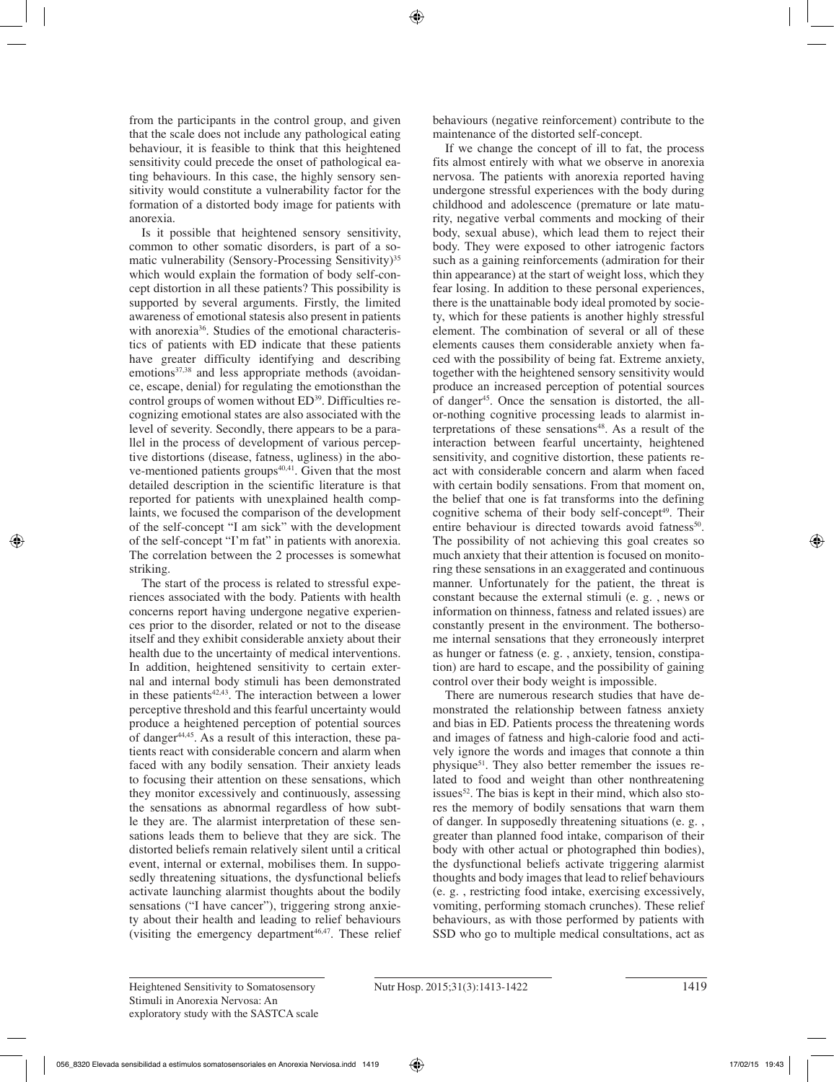from the participants in the control group, and given that the scale does not include any pathological eating behaviour, it is feasible to think that this heightened sensitivity could precede the onset of pathological eating behaviours. In this case, the highly sensory sensitivity would constitute a vulnerability factor for the formation of a distorted body image for patients with anorexia.

Is it possible that heightened sensory sensitivity, common to other somatic disorders, is part of a somatic vulnerability (Sensory-Processing Sensitivity)<sup>35</sup> which would explain the formation of body self-concept distortion in all these patients? This possibility is supported by several arguments. Firstly, the limited awareness of emotional statesis also present in patients with anorexia<sup>36</sup>. Studies of the emotional characteristics of patients with ED indicate that these patients have greater difficulty identifying and describing  $e$ motions<sup>37,38</sup> and less appropriate methods (avoidance, escape, denial) for regulating the emotionsthan the control groups of women without ED<sup>39</sup>. Difficulties recognizing emotional states are also associated with the level of severity. Secondly, there appears to be a parallel in the process of development of various perceptive distortions (disease, fatness, ugliness) in the above-mentioned patients groups $40,41$ . Given that the most detailed description in the scientific literature is that reported for patients with unexplained health complaints, we focused the comparison of the development of the self-concept "I am sick" with the development of the self-concept "I'm fat" in patients with anorexia. The correlation between the 2 processes is somewhat striking.

The start of the process is related to stressful experiences associated with the body. Patients with health concerns report having undergone negative experiences prior to the disorder, related or not to the disease itself and they exhibit considerable anxiety about their health due to the uncertainty of medical interventions. In addition, heightened sensitivity to certain external and internal body stimuli has been demonstrated in these patients $42,43$ . The interaction between a lower perceptive threshold and this fearful uncertainty would produce a heightened perception of potential sources of danger<sup>44,45</sup>. As a result of this interaction, these patients react with considerable concern and alarm when faced with any bodily sensation. Their anxiety leads to focusing their attention on these sensations, which they monitor excessively and continuously, assessing the sensations as abnormal regardless of how subtle they are. The alarmist interpretation of these sensations leads them to believe that they are sick. The distorted beliefs remain relatively silent until a critical event, internal or external, mobilises them. In supposedly threatening situations, the dysfunctional beliefs activate launching alarmist thoughts about the bodily sensations ("I have cancer"), triggering strong anxiety about their health and leading to relief behaviours (visiting the emergency department $46,47$ . These relief behaviours (negative reinforcement) contribute to the maintenance of the distorted self-concept.

If we change the concept of ill to fat, the process fits almost entirely with what we observe in anorexia nervosa. The patients with anorexia reported having undergone stressful experiences with the body during childhood and adolescence (premature or late maturity, negative verbal comments and mocking of their body, sexual abuse), which lead them to reject their body. They were exposed to other iatrogenic factors such as a gaining reinforcements (admiration for their thin appearance) at the start of weight loss, which they fear losing. In addition to these personal experiences, there is the unattainable body ideal promoted by society, which for these patients is another highly stressful element. The combination of several or all of these elements causes them considerable anxiety when faced with the possibility of being fat. Extreme anxiety, together with the heightened sensory sensitivity would produce an increased perception of potential sources of danger<sup>45</sup>. Once the sensation is distorted, the allor-nothing cognitive processing leads to alarmist interpretations of these sensations<sup>48</sup>. As a result of the interaction between fearful uncertainty, heightened sensitivity, and cognitive distortion, these patients react with considerable concern and alarm when faced with certain bodily sensations. From that moment on, the belief that one is fat transforms into the defining cognitive schema of their body self-concept<sup>49</sup>. Their entire behaviour is directed towards avoid fatness<sup>50</sup>. The possibility of not achieving this goal creates so much anxiety that their attention is focused on monitoring these sensations in an exaggerated and continuous manner. Unfortunately for the patient, the threat is constant because the external stimuli (e. g. , news or information on thinness, fatness and related issues) are constantly present in the environment. The bothersome internal sensations that they erroneously interpret as hunger or fatness (e. g. , anxiety, tension, constipation) are hard to escape, and the possibility of gaining control over their body weight is impossible.

There are numerous research studies that have demonstrated the relationship between fatness anxiety and bias in ED. Patients process the threatening words and images of fatness and high-calorie food and actively ignore the words and images that connote a thin physique51. They also better remember the issues related to food and weight than other nonthreatening issues<sup>52</sup>. The bias is kept in their mind, which also stores the memory of bodily sensations that warn them of danger. In supposedly threatening situations (e. g. , greater than planned food intake, comparison of their body with other actual or photographed thin bodies), the dysfunctional beliefs activate triggering alarmist thoughts and body images that lead to relief behaviours (e. g. , restricting food intake, exercising excessively, vomiting, performing stomach crunches). These relief behaviours, as with those performed by patients with SSD who go to multiple medical consultations, act as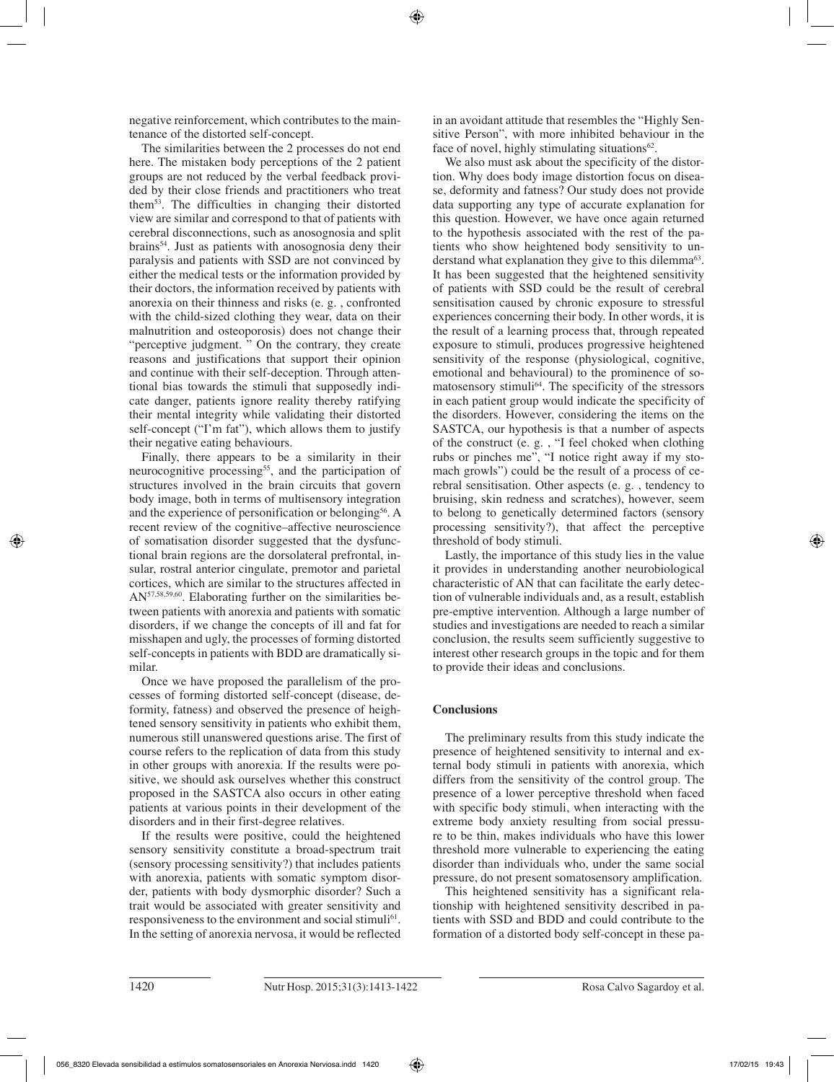negative reinforcement, which contributes to the maintenance of the distorted self-concept.

The similarities between the 2 processes do not end here. The mistaken body perceptions of the 2 patient groups are not reduced by the verbal feedback provided by their close friends and practitioners who treat them53. The difficulties in changing their distorted view are similar and correspond to that of patients with cerebral disconnections, such as anosognosia and split brains54. Just as patients with anosognosia deny their paralysis and patients with SSD are not convinced by either the medical tests or the information provided by their doctors, the information received by patients with anorexia on their thinness and risks (e. g. , confronted with the child-sized clothing they wear, data on their malnutrition and osteoporosis) does not change their "perceptive judgment. " On the contrary, they create reasons and justifications that support their opinion and continue with their self-deception. Through attentional bias towards the stimuli that supposedly indicate danger, patients ignore reality thereby ratifying their mental integrity while validating their distorted self-concept ("I'm fat"), which allows them to justify their negative eating behaviours.

Finally, there appears to be a similarity in their neurocognitive processing<sup>55</sup>, and the participation of structures involved in the brain circuits that govern body image, both in terms of multisensory integration and the experience of personification or belonging56. A recent review of the cognitive–affective neuroscience of somatisation disorder suggested that the dysfunctional brain regions are the dorsolateral prefrontal, insular, rostral anterior cingulate, premotor and parietal cortices, which are similar to the structures affected in AN57,58,59,60. Elaborating further on the similarities between patients with anorexia and patients with somatic disorders, if we change the concepts of ill and fat for misshapen and ugly, the processes of forming distorted self-concepts in patients with BDD are dramatically similar.

Once we have proposed the parallelism of the processes of forming distorted self-concept (disease, deformity, fatness) and observed the presence of heightened sensory sensitivity in patients who exhibit them, numerous still unanswered questions arise. The first of course refers to the replication of data from this study in other groups with anorexia. If the results were positive, we should ask ourselves whether this construct proposed in the SASTCA also occurs in other eating patients at various points in their development of the disorders and in their first-degree relatives.

If the results were positive, could the heightened sensory sensitivity constitute a broad-spectrum trait (sensory processing sensitivity?) that includes patients with anorexia, patients with somatic symptom disorder, patients with body dysmorphic disorder? Such a trait would be associated with greater sensitivity and responsiveness to the environment and social stimuli<sup>61</sup>. In the setting of anorexia nervosa, it would be reflected in an avoidant attitude that resembles the "Highly Sensitive Person", with more inhibited behaviour in the face of novel, highly stimulating situations $62$ .

We also must ask about the specificity of the distortion. Why does body image distortion focus on disease, deformity and fatness? Our study does not provide data supporting any type of accurate explanation for this question. However, we have once again returned to the hypothesis associated with the rest of the patients who show heightened body sensitivity to understand what explanation they give to this dilemma<sup>63</sup>. It has been suggested that the heightened sensitivity of patients with SSD could be the result of cerebral sensitisation caused by chronic exposure to stressful experiences concerning their body. In other words, it is the result of a learning process that, through repeated exposure to stimuli, produces progressive heightened sensitivity of the response (physiological, cognitive, emotional and behavioural) to the prominence of somatosensory stimuli<sup>64</sup>. The specificity of the stressors in each patient group would indicate the specificity of the disorders. However, considering the items on the SASTCA, our hypothesis is that a number of aspects of the construct (e. g. , "I feel choked when clothing rubs or pinches me", "I notice right away if my stomach growls") could be the result of a process of cerebral sensitisation. Other aspects (e. g. , tendency to bruising, skin redness and scratches), however, seem to belong to genetically determined factors (sensory processing sensitivity?), that affect the perceptive threshold of body stimuli.

Lastly, the importance of this study lies in the value it provides in understanding another neurobiological characteristic of AN that can facilitate the early detection of vulnerable individuals and, as a result, establish pre-emptive intervention. Although a large number of studies and investigations are needed to reach a similar conclusion, the results seem sufficiently suggestive to interest other research groups in the topic and for them to provide their ideas and conclusions.

# **Conclusions**

The preliminary results from this study indicate the presence of heightened sensitivity to internal and external body stimuli in patients with anorexia, which differs from the sensitivity of the control group. The presence of a lower perceptive threshold when faced with specific body stimuli, when interacting with the extreme body anxiety resulting from social pressure to be thin, makes individuals who have this lower threshold more vulnerable to experiencing the eating disorder than individuals who, under the same social pressure, do not present somatosensory amplification.

This heightened sensitivity has a significant relationship with heightened sensitivity described in patients with SSD and BDD and could contribute to the formation of a distorted body self-concept in these pa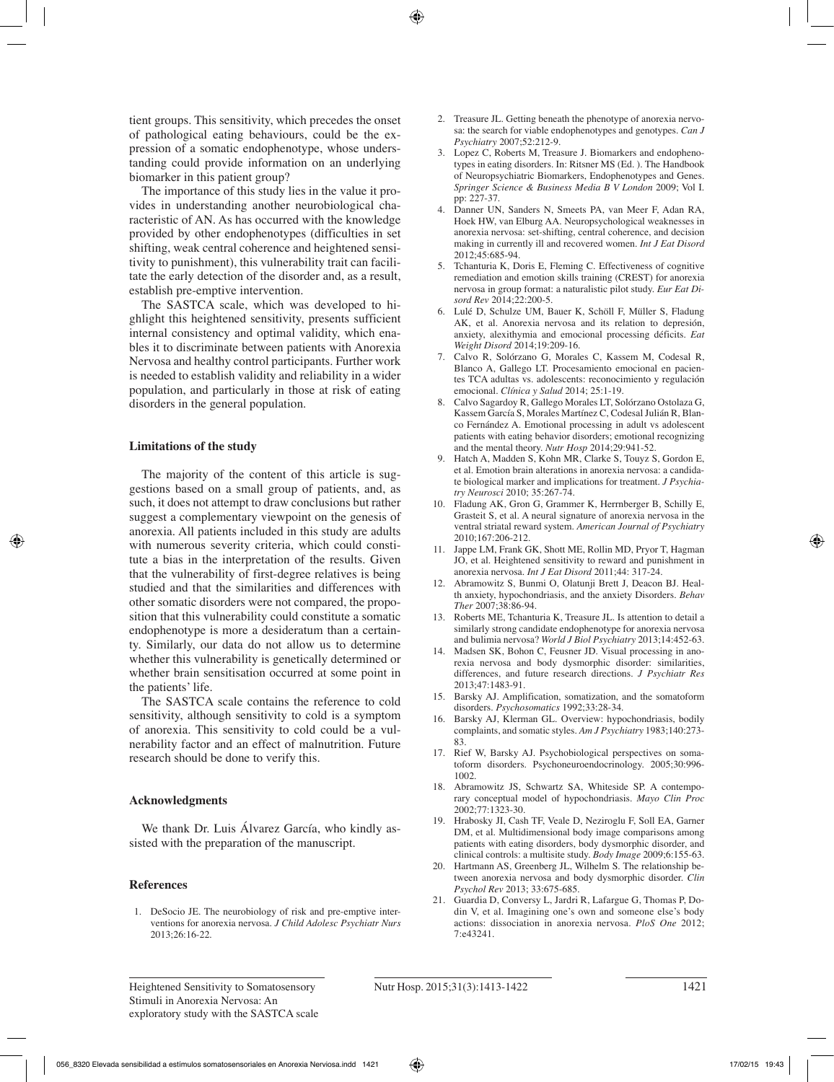tient groups. This sensitivity, which precedes the onset of pathological eating behaviours, could be the expression of a somatic endophenotype, whose understanding could provide information on an underlying biomarker in this patient group?

The importance of this study lies in the value it provides in understanding another neurobiological characteristic of AN. As has occurred with the knowledge provided by other endophenotypes (difficulties in set shifting, weak central coherence and heightened sensitivity to punishment), this vulnerability trait can facilitate the early detection of the disorder and, as a result, establish pre-emptive intervention.

The SASTCA scale, which was developed to highlight this heightened sensitivity, presents sufficient internal consistency and optimal validity, which enables it to discriminate between patients with Anorexia Nervosa and healthy control participants. Further work is needed to establish validity and reliability in a wider population, and particularly in those at risk of eating disorders in the general population.

## **Limitations of the study**

The majority of the content of this article is suggestions based on a small group of patients, and, as such, it does not attempt to draw conclusions but rather suggest a complementary viewpoint on the genesis of anorexia. All patients included in this study are adults with numerous severity criteria, which could constitute a bias in the interpretation of the results. Given that the vulnerability of first-degree relatives is being studied and that the similarities and differences with other somatic disorders were not compared, the proposition that this vulnerability could constitute a somatic endophenotype is more a desideratum than a certainty. Similarly, our data do not allow us to determine whether this vulnerability is genetically determined or whether brain sensitisation occurred at some point in the patients' life.

The SASTCA scale contains the reference to cold sensitivity, although sensitivity to cold is a symptom of anorexia. This sensitivity to cold could be a vulnerability factor and an effect of malnutrition. Future research should be done to verify this.

# **Acknowledgments**

We thank Dr. Luis Álvarez García, who kindly assisted with the preparation of the manuscript.

## **References**

1. DeSocio JE. The neurobiology of risk and pre-emptive interventions for anorexia nervosa. *J Child Adolesc Psychiatr Nurs*  2013;26:16-22.

- 2. Treasure JL. Getting beneath the phenotype of anorexia nervosa: the search for viable endophenotypes and genotypes. *Can J Psychiatry* 2007;52:212-9.
- 3. Lopez C, Roberts M, Treasure J. Biomarkers and endophenotypes in eating disorders. In: Ritsner MS (Ed. ). The Handbook of Neuropsychiatric Biomarkers, Endophenotypes and Genes. *Springer Science & Business Media B V London* 2009; Vol I. pp: 227-37.
- 4. Danner UN, Sanders N, Smeets PA, van Meer F, Adan RA, Hoek HW, van Elburg AA. Neuropsychological weaknesses in anorexia nervosa: set-shifting, central coherence, and decision making in currently ill and recovered women. *Int J Eat Disord*  2012;45:685-94.
- 5. Tchanturia K, Doris E, Fleming C. Effectiveness of cognitive remediation and emotion skills training (CREST) for anorexia nervosa in group format: a naturalistic pilot study. *Eur Eat Disord Rev* 2014;22:200-5.
- 6. Lulé D, Schulze UM, Bauer K, Schöll F, Müller S, Fladung AK, et al. Anorexia nervosa and its relation to depresión, anxiety, alexithymia and emocional processing déficits. *Eat Weight Disord* 2014;19:209-16.
- 7. Calvo R, Solórzano G, Morales C, Kassem M, Codesal R, Blanco A, Gallego LT. Procesamiento emocional en pacientes TCA adultas vs. adolescents: reconocimiento y regulación emocional. *Clínica y Salud* 2014; 25:1-19.
- 8. Calvo Sagardoy R, Gallego Morales LT, Solórzano Ostolaza G, Kassem García S, Morales Martínez C, Codesal Julián R, Blanco Fernández A. Emotional processing in adult vs adolescent patients with eating behavior disorders; emotional recognizing and the mental theory. *Nutr Hosp* 2014;29:941-52.
- 9. Hatch A, Madden S, Kohn MR, Clarke S, Touyz S, Gordon E, et al. Emotion brain alterations in anorexia nervosa: a candidate biological marker and implications for treatment. *J Psychiatry Neurosci* 2010; 35:267-74.
- 10. Fladung AK, Gron G, Grammer K, Herrnberger B, Schilly E, Grasteit S, et al. A neural signature of anorexia nervosa in the ventral striatal reward system. *American Journal of Psychiatry*  2010;167:206-212.
- 11. Jappe LM, Frank GK, Shott ME, Rollin MD, Pryor T, Hagman JO, et al. Heightened sensitivity to reward and punishment in anorexia nervosa. *Int J Eat Disord* 2011;44: 317-24.
- 12. Abramowitz S, Bunmi O, Olatunji Brett J, Deacon BJ. Health anxiety, hypochondriasis, and the anxiety Disorders. *Behav Ther* 2007;38:86-94.
- 13. Roberts ME, Tchanturia K, Treasure JL. Is attention to detail a similarly strong candidate endophenotype for anorexia nervosa and bulimia nervosa? *World J Biol Psychiatry* 2013;14:452-63.
- 14. Madsen SK, Bohon C, Feusner JD. Visual processing in anorexia nervosa and body dysmorphic disorder: similarities, differences, and future research directions. *J Psychiatr Res*  2013;47:1483-91.
- 15. Barsky AJ. Amplification, somatization, and the somatoform disorders. *Psychosomatics* 1992;33:28-34.
- 16. Barsky AJ, Klerman GL. Overview: hypochondriasis, bodily complaints, and somatic styles. *Am J Psychiatry* 1983;140:273- 83.
- 17. Rief W, Barsky AJ. Psychobiological perspectives on somatoform disorders. Psychoneuroendocrinology. 2005;30:996- 1002.
- 18. Abramowitz JS, Schwartz SA, Whiteside SP. A contemporary conceptual model of hypochondriasis. *Mayo Clin Proc*  2002;77:1323-30.
- 19. Hrabosky JI, Cash TF, Veale D, Neziroglu F, Soll EA, Garner DM, et al. Multidimensional body image comparisons among patients with eating disorders, body dysmorphic disorder, and clinical controls: a multisite study. *Body Image* 2009;6:155-63.
- 20. Hartmann AS, Greenberg JL, Wilhelm S. The relationship between anorexia nervosa and body dysmorphic disorder. *Clin Psychol Rev* 2013; 33:675-685.
- 21. Guardia D, Conversy L, Jardri R, Lafargue G, Thomas P, Dodin V, et al. Imagining one's own and someone else's body actions: dissociation in anorexia nervosa. *PloS One* 2012; 7:e43241.